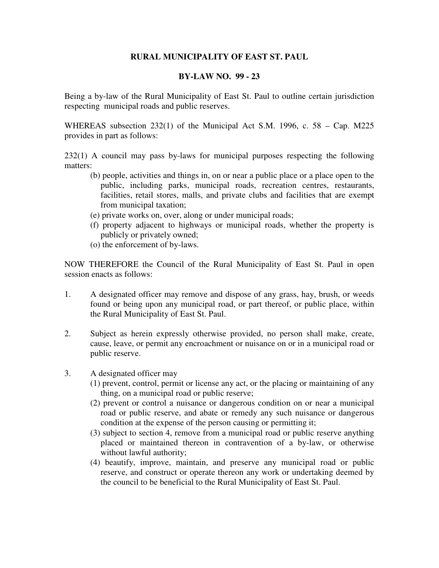## **RURAL MUNICIPALITY OF EAST ST. PAUL**

## **BY-LAW NO. 99 - 23**

Being a by-law of the Rural Municipality of East St. Paul to outline certain jurisdiction respecting municipal roads and public reserves.

WHEREAS subsection 232(1) of the Municipal Act S.M. 1996, c. 58 – Cap. M225 provides in part as follows:

232(1) A council may pass by-laws for municipal purposes respecting the following matters:

- (b) people, activities and things in, on or near a public place or a place open to the public, including parks, municipal roads, recreation centres, restaurants, facilities, retail stores, malls, and private clubs and facilities that are exempt from municipal taxation;
- (e) private works on, over, along or under municipal roads;
- (f) property adjacent to highways or municipal roads, whether the property is publicly or privately owned;
- (o) the enforcement of by-laws.

NOW THEREFORE the Council of the Rural Municipality of East St. Paul in open session enacts as follows:

- 1. A designated officer may remove and dispose of any grass, hay, brush, or weeds found or being upon any municipal road, or part thereof, or public place, within the Rural Municipality of East St. Paul.
- 2. Subject as herein expressly otherwise provided, no person shall make, create, cause, leave, or permit any encroachment or nuisance on or in a municipal road or public reserve.
- 3. A designated officer may
	- (1) prevent, control, permit or license any act, or the placing or maintaining of any thing, on a municipal road or public reserve;
	- (2) prevent or control a nuisance or dangerous condition on or near a municipal road or public reserve, and abate or remedy any such nuisance or dangerous condition at the expense of the person causing or permitting it;
	- (3) subject to section 4, remove from a municipal road or public reserve anything placed or maintained thereon in contravention of a by-law, or otherwise without lawful authority;
	- (4) beautify, improve, maintain, and preserve any municipal road or public reserve, and construct or operate thereon any work or undertaking deemed by the council to be beneficial to the Rural Municipality of East St. Paul.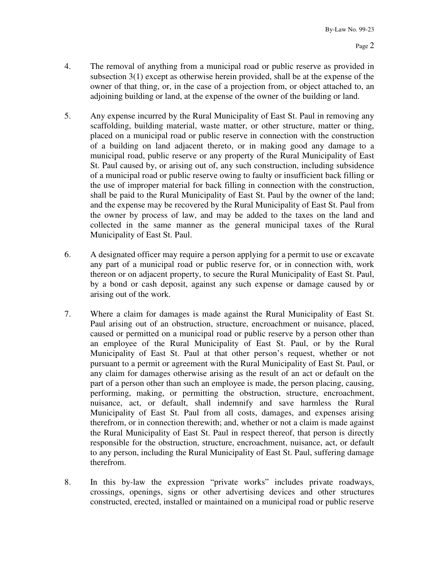- 4. The removal of anything from a municipal road or public reserve as provided in subsection 3(1) except as otherwise herein provided, shall be at the expense of the owner of that thing, or, in the case of a projection from, or object attached to, an adjoining building or land, at the expense of the owner of the building or land.
- 5. Any expense incurred by the Rural Municipality of East St. Paul in removing any scaffolding, building material, waste matter, or other structure, matter or thing, placed on a municipal road or public reserve in connection with the construction of a building on land adjacent thereto, or in making good any damage to a municipal road, public reserve or any property of the Rural Municipality of East St. Paul caused by, or arising out of, any such construction, including subsidence of a municipal road or public reserve owing to faulty or insufficient back filling or the use of improper material for back filling in connection with the construction, shall be paid to the Rural Municipality of East St. Paul by the owner of the land; and the expense may be recovered by the Rural Municipality of East St. Paul from the owner by process of law, and may be added to the taxes on the land and collected in the same manner as the general municipal taxes of the Rural Municipality of East St. Paul.
- 6. A designated officer may require a person applying for a permit to use or excavate any part of a municipal road or public reserve for, or in connection with, work thereon or on adjacent property, to secure the Rural Municipality of East St. Paul, by a bond or cash deposit, against any such expense or damage caused by or arising out of the work.
- 7. Where a claim for damages is made against the Rural Municipality of East St. Paul arising out of an obstruction, structure, encroachment or nuisance, placed, caused or permitted on a municipal road or public reserve by a person other than an employee of the Rural Municipality of East St. Paul, or by the Rural Municipality of East St. Paul at that other person's request, whether or not pursuant to a permit or agreement with the Rural Municipality of East St. Paul, or any claim for damages otherwise arising as the result of an act or default on the part of a person other than such an employee is made, the person placing, causing, performing, making, or permitting the obstruction, structure, encroachment, nuisance, act, or default, shall indemnify and save harmless the Rural Municipality of East St. Paul from all costs, damages, and expenses arising therefrom, or in connection therewith; and, whether or not a claim is made against the Rural Municipality of East St. Paul in respect thereof, that person is directly responsible for the obstruction, structure, encroachment, nuisance, act, or default to any person, including the Rural Municipality of East St. Paul, suffering damage therefrom.
- 8. In this by-law the expression "private works" includes private roadways, crossings, openings, signs or other advertising devices and other structures constructed, erected, installed or maintained on a municipal road or public reserve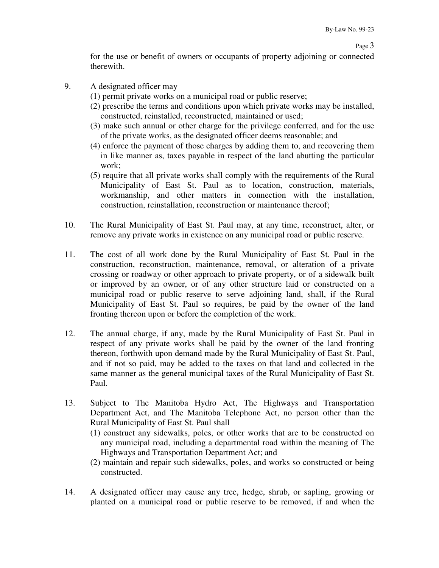for the use or benefit of owners or occupants of property adjoining or connected therewith.

- 9. A designated officer may
	- (1) permit private works on a municipal road or public reserve;
	- (2) prescribe the terms and conditions upon which private works may be installed, constructed, reinstalled, reconstructed, maintained or used;
	- (3) make such annual or other charge for the privilege conferred, and for the use of the private works, as the designated officer deems reasonable; and
	- (4) enforce the payment of those charges by adding them to, and recovering them in like manner as, taxes payable in respect of the land abutting the particular work;
	- (5) require that all private works shall comply with the requirements of the Rural Municipality of East St. Paul as to location, construction, materials, workmanship, and other matters in connection with the installation, construction, reinstallation, reconstruction or maintenance thereof;
- 10. The Rural Municipality of East St. Paul may, at any time, reconstruct, alter, or remove any private works in existence on any municipal road or public reserve.
- 11. The cost of all work done by the Rural Municipality of East St. Paul in the construction, reconstruction, maintenance, removal, or alteration of a private crossing or roadway or other approach to private property, or of a sidewalk built or improved by an owner, or of any other structure laid or constructed on a municipal road or public reserve to serve adjoining land, shall, if the Rural Municipality of East St. Paul so requires, be paid by the owner of the land fronting thereon upon or before the completion of the work.
- 12. The annual charge, if any, made by the Rural Municipality of East St. Paul in respect of any private works shall be paid by the owner of the land fronting thereon, forthwith upon demand made by the Rural Municipality of East St. Paul, and if not so paid, may be added to the taxes on that land and collected in the same manner as the general municipal taxes of the Rural Municipality of East St. Paul.
- 13. Subject to The Manitoba Hydro Act, The Highways and Transportation Department Act, and The Manitoba Telephone Act, no person other than the Rural Municipality of East St. Paul shall
	- (1) construct any sidewalks, poles, or other works that are to be constructed on any municipal road, including a departmental road within the meaning of The Highways and Transportation Department Act; and
	- (2) maintain and repair such sidewalks, poles, and works so constructed or being constructed.
- 14. A designated officer may cause any tree, hedge, shrub, or sapling, growing or planted on a municipal road or public reserve to be removed, if and when the